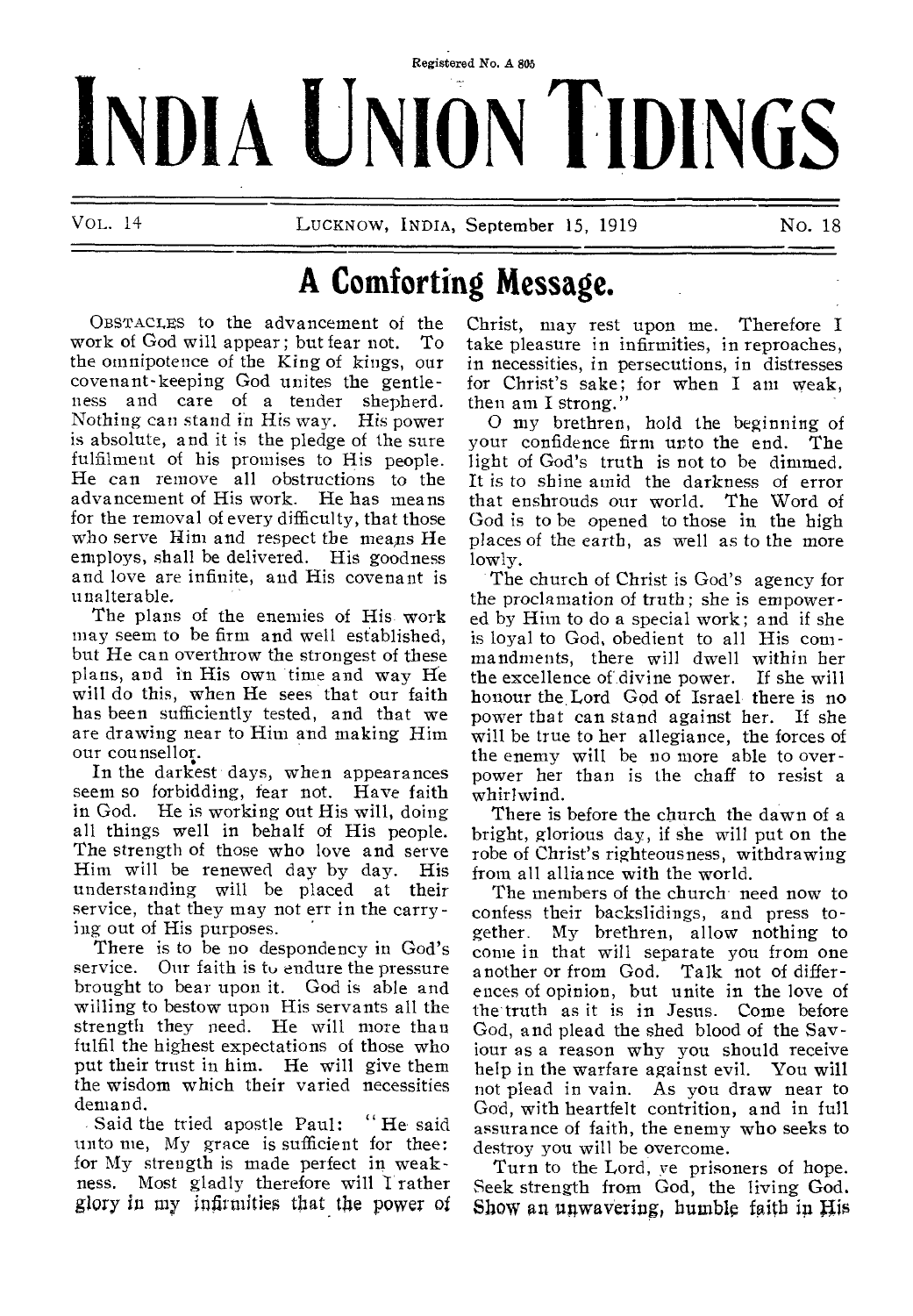# Registered No. A 805 **INDIA UNION TIDINGS**

# **A Comforting Message.**

**OBSTACLES to** the advancement of the work of God will appear; but fear not. To the omnipotence of the King of kings, our covenant-keeping God unites the gentleness and care of a tender shepherd. Nothing can stand in His way. His power is absolute, and it is the pledge of the sure fulfilment of his promises to His people. He can remove all obstructions to the advancement of His work. He has means for the removal of every difficulty, that those who serve Him and respect the means He employs, shall be delivered. His goodness and love are infinite, and His covenant is unalterable.

The plans of the enemies of His-work may seem to be firm and well established, but He can overthrow the strongest of these plans, and in His own time and way He will do this, when He sees that our faith has been sufficiently tested, and that we are drawing near to Him and making Him our counsellor.

In the darkest days, when appearances seem so forbidding, fear not. Have faith in God. He is working out His will, doing all things well in behalf of His people. The strength of those who love and serve Him will be renewed day by day. His understanding will be placed at their service, that they may not err in the carrying out of His purposes.

There is to be no despondency in God's service. Our faith is to endure the pressure brought to bear upon it. God is able and willing to bestow upon His servants all the strength they need. He will more than fulfil the highest expectations of those who put their trust in him. He will give them the wisdom which their varied necessities demand.

Said the tried apostle Paul: " He- said unto me, My grace is sufficient for thee: for My strength is made perfect in weakness. Most gladly therefore will I rather glory *in* my infirmities that the power of

Christ, may rest upon me. Therefore I take pleasure in infirmities, in reproaches, in necessities, in persecutions, in distresses for Christ's sake; for when I am weak, then am I strong."

0 my brethren, hold the beginning of your confidence firm unto the end. The light of God's truth is not to be dimmed. It is to shine amid the darkness of error that enshrouds our world. The Word of God is to be opened to those in the high places of the earth, as well as to the more lowly.

The church of Christ is God's agency for the proclamation of truth ; she is empowered by Him to do a special work; and if she is loyal to God, obedient to all His commandments, there will dwell within her the excellence of divine power. If she will honour the Lord God of Israel there is no power that can stand against her. If she will be true to her allegiance, the forces of the enemy will be no more able to overpower her than is the chaff to resist a whirlwind.

There is before the church the dawn of a bright, glorious day, if she will put on the robe of Christ's righteousness, withdrawing from all alliance with the world.

The members of the church need now to confess their backslidings, and press together. My brethren, allow nothing to come in that will separate you from one another or from God. Talk not of differences of opinion, but unite in the love of the truth as it is in Jesus. Come before God, and plead the shed blood of the Saviour as a reason why you should receive help in the warfare against evil. You will not plead in vain. As you draw near to God, with heartfelt contrition, and in full assurance of faith, the enemy who seeks to destroy you will be overcome.

Turn to the Lord, ve prisoners of hope. Seek strength from God, the living God. Show an unwavering, humble faith in His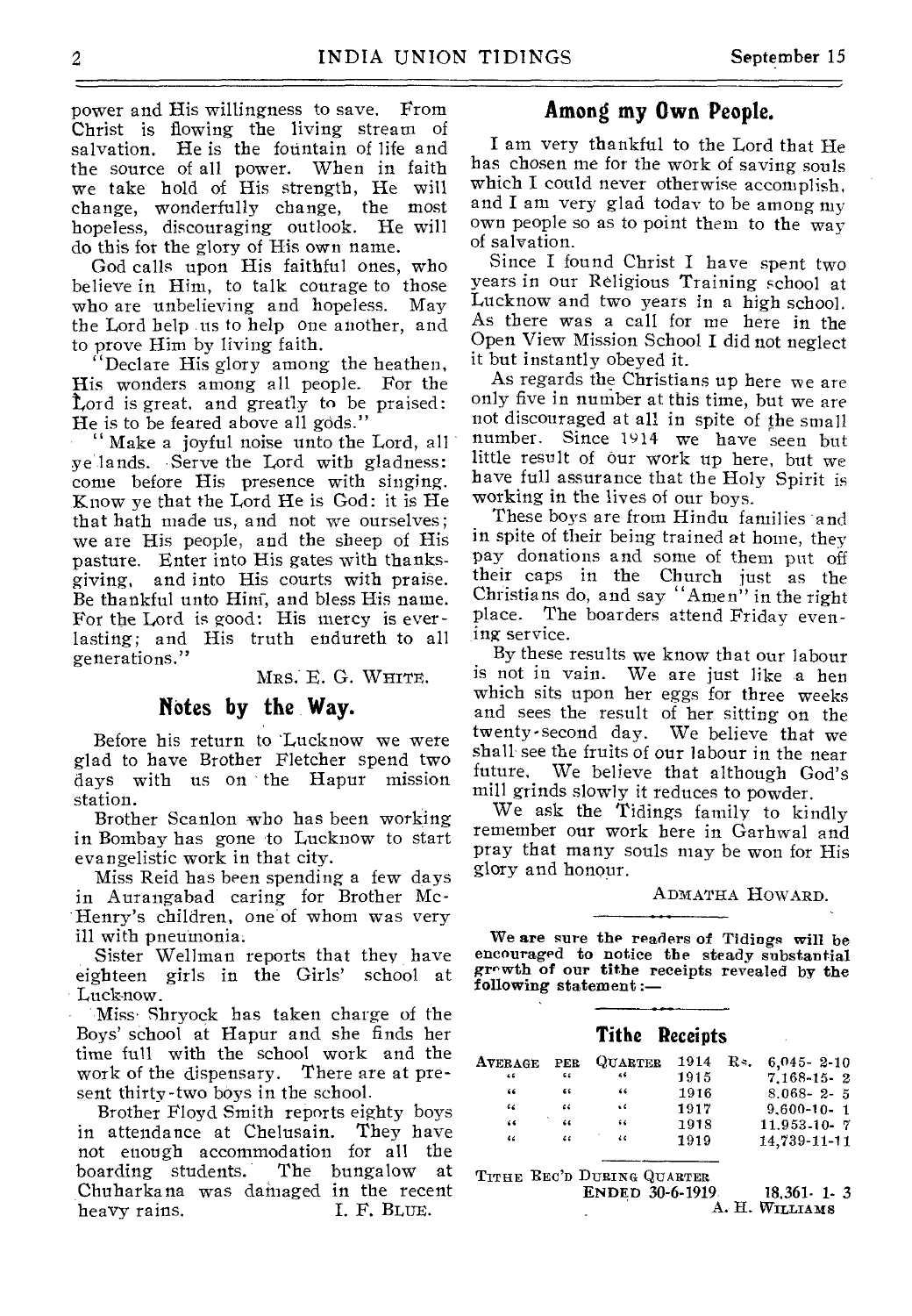power and His willingness to save. From Christ is flowing the living stream of<br>salvation. He is the fountain of life and He is the fountain of life and the source of all power. When in faith we take hold of His strength, He will change, wonderfully change, the most hopeless, discouraging outlook. He will do this for the glory of His own name.

God calls upon His faithful ones, who believe in Him, to talk courage to those who are unbelieving and hopeless. May the Lord help us to help one another, and to prove Him by living faith.

"Declare His glory among the heathen, His wonders among all people. For the Lord is great, and greatly to be praised: He is to be feared above all gods."

Make a joyful noise unto the Lord, all ye lands. Serve the Lord with gladness: come before His presence with singing. Know ye that the Lord He is God: it is He that hath made us, and not we ourselves; we are His people, and the sheep of His pasture. Enter into His gates with thanksgiving, and into His courts with praise. Be thankful unto Hini, and bless His name. For the Lord is good: His mercy is everlasting; and His truth endureth to all generations."

# MRS. E. G. WHITE.

# **Notes by the Way.**

Before his return to 'Lucknow we were glad to have Brother Fletcher spend two days with us on the Hapur mission station.

Brother Scanlon who has been working in Bombay has gone to Lucknow to start evangelistic work in that city.

Miss Reid has been spending a few days in Aurangabad caring for Brother Mc-Henry's children, one of whom was very ill with pneumonia.

Sister Wellman reports that they have eighteen girls in the Girls' Lucknow.

Miss Shryock has taken charge of the Boys' school at Hapur and she finds her time full with the school work and the work of the dispensary. There are at present thirty-two boys in the school.

Brother Floyd Smith reports eighty boys in attendance at Chelusain. They have not enough accommodation for all the<br>boarding students. The bungalow at boarding students. The bungalow at Chuharkana was damaged in the recent<br>heavy rains. [I. F. BLUE.] I. F. BLUE.

# **Among my Own People.**

I am very thankful to the Lord that He has chosen me for the work of saving souls which I could never otherwise accomplish, and I am very glad today to be among my own people so as to point them to the way of salvation.

Since I found Christ I have spent two years in our Religious Training school at Lucknow and two years in a high school. As there was a call for me here in the Open View Mission School I did not neglect it but instantly obeyed it.

As regards the Christians up here we are only five in number at this time, but we are not discouraged at all in spite of the small number. Since 1914 we have seen but little result of our work up here, but we have full assurance that the Holy Spirit is working in the lives of our boys.

These boys are from Hindu families and in spite of their being trained at home, they pay donations and some of them put off their caps in the Church just as the Christians do, and say ''Amen" in the right place. The boarders attend Friday evening service.

By these results we know that our labour is not in vain. We are just like a hen which sits upon her eggs for three weeks and sees the result of her sitting on the twenty-second day. We believe that we shall see the fruits of our labour in the near future. We believe that although God's mill grinds slowly it reduces to powder.

We ask the Tidings family to kindly remember our work here in Garhwal and pray that many souls may be won for His glory and honour.

ADMATHA HOWARD.

We are sure the readers of Tidings will be encouraged to notice the steady substantial growth of our tithe receipts revealed by the following statement :—

# **Tithe Receipts**

| Average | <b>PER</b> | <b>QUARTER</b> | 1914 | $\mathbb{R}^*$ . | $6,045 - 2 - 10$ |
|---------|------------|----------------|------|------------------|------------------|
| 46      | 66         | 46             | 1915 |                  | $7.168 - 15 - 2$ |
| 66      | 46         | 66             | 1916 |                  | $8.068 - 2 - 5$  |
| 66      | 66         | $\bullet$      | 1917 |                  | $9.600 - 10 - 1$ |
| 65      | 44         | 66             | 1918 |                  | 11.953-10-7      |
| 44      | 46         | 44             | 1919 |                  | 14.739-11-11     |

TITHE BEC'D DURING QUARTER

ENDED 30-6-1919 18,361- 1- 3 A. H. WILLIAMS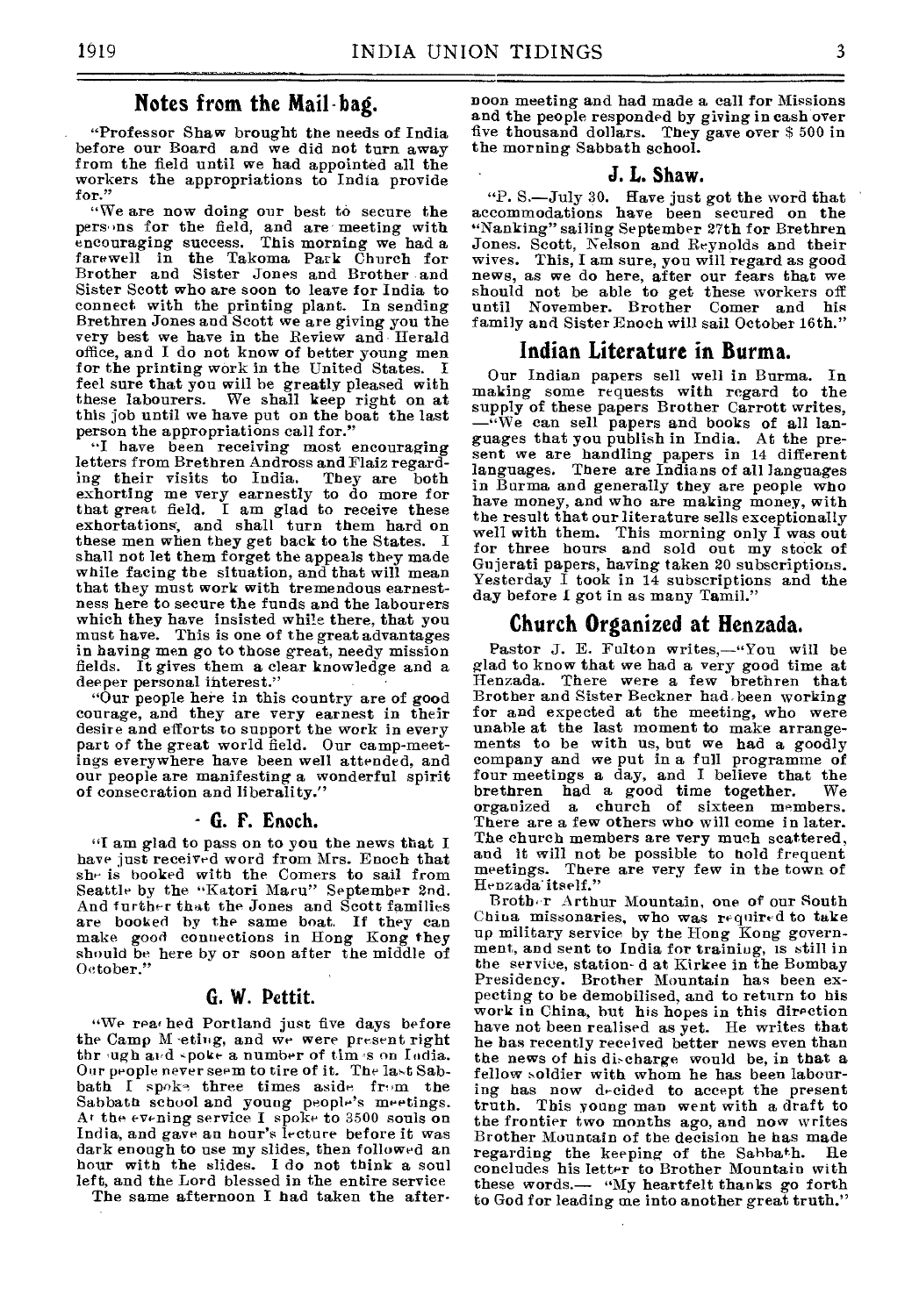# **Notes from the Mail. bag.**

"Professor Shaw brought the needs of India before our Board and we did not turn away from the field until we had appointed all the workers the appropriations to India provide for."

We are now doing our best to secure the persons for the field, and are meeting with encouraging success. This morning we had a farewell in the Takoma Park Church for Brother and Sister Jones and Brother and Sister Scott who are soon to leave for India to connect. with the printing plant. In sending Brethren Jones and Scott we are giving you the very best we have in the Review and Herald office, and I do not know of better young men for the printing work in the United States. feel sure that you will he greatly pleased with these labourers. We shall keep right on at this job until we have put on the boat the last person the appropriations call for."

"I have been receiving most encouraging letters from Brethren Andross and Flaiz regard-<br>ing their visits to India. They are both ing their visits to India. They are both exhorting me very earnestly to do more for that great field. I am glad to receive these exhortations, and shall turn them hard on these men when they get back to the States. I shall not let them forget the appeals they made while facing the situation, and that will mean that they must work with tremendous earnestness here to secure the funds and the labourers which they have insisted while there, that you must have. This is one of the great advantages in having men go to those great, needy mission fields. It gives them a clear knowledge and a deeper personal interest."

"Our people here in this country are of good courage, and they are very earnest in their desire and efforts to support the work in every part of the great world field. Our camp-meetings everywhere have been well attended, and our people are manifesting a wonderful spirit of consecration and liberality."

## **- G. F. Enoch.**

"I am glad to pass on to you the news that I have just received word from Mrs. Enoch that she is booked with the Comers to sail from Seattle by the "Katori Maru" September 2nd. And further that the Jones and Scott families are booked by the same boat. If they can make good connections in Hong Kong they should be here by or soon after the middle of October."

# **G. W. Pettit.**

"We rea hed Portland just five days before the Camp M •eting, and we were present right thr ugh and spoke a number of tim is on India. Our people never seem to tire of it. The last Sabbath I spoke three times aside from the Sabbath school and young people's meetings. At the evening service I spoke to 3500 souls on India, and gave an hour's lecture before it was dark enough to use my slides, then followed an hour with the slides. I do not think a soul left, and the Lord blessed in the entire service

The same afternoon I had taken the after-

noon meeting and had made a call for Missions and the people responded by giving in cash over five thousand dollars. They gave over \$ 500 in the morning Sabbath school.

# **J. L. Shaw.**

*"P.* S.—July 30. Have just got the word that accommodations have been secured on the "Nanking" sailing September 27th for Brethren Jones. Scott, Nelson and Reynolds and their wives. This, I am sure, you will regard as good news, as we do here, after our fears that we should not be able to *get* these workers off until November. Brother Comer and his family and Sister Enoch will sail October 16th."

# **Indian Literature in Burma.**

Our Indian papers sell well in Burma. In making some requests with regard to the supply of these papers Brother Carrott writes, —"We can sell papers and books of all languages that you publish in India. At the pre-sent we are handling papers in 14 different languages. There are Indians of all languages in Burma and generally they are people who have money, and who are making money, with the result that our literature sells exceptionally well with them. This morning only I was out for three hours and sold out my stock of Gujerati papers, having taken 20 subscriptions. Yesterday I took in 14 subscriptions and the day before I got in as many Tamil.'

# **Church Organized at Henzada.**

Pastor J. E. Fulton writes,—"You will be glad to know that we had a very good time at Henzada. There were a few brethren that Brother and Sister Beckner had .been working for and expected at the meeting, who were unable at the last moment to make arrangements to be with us, but we had a goodly company and we put in a full programme of four meetings a day, and I believe that the brethren had a good time together. We organized a church of sixteen members. There are a few others who will come in later. The church members are very much scattered, and it will not be possible to hold frequent meetings. There are very few in the town of Henzada itself."

Brother Arthur Mountain, one of our South China missonaries, who was required to take up military service by the Hong Kong government, and sent to India for training, is still in the service, station- d at Kirkee in the Bombay Presidency. Brother Mountain has been expecting to be demobilised, and to return to his work in China, but his hopes in this direction have not been realised as yet. He writes that he has recently received better news even than the news of his di-charge would be, in that a fellow soldier with whom he has been labouring has now decided to accept the present truth. This young man went with a draft to the frontier two months ago, and now writes Brother Mountain of the decision he has made regarding the keeping of the Sabbath. concludes his letter to Brother Mountain with these words.— "My heartfelt thanks go forth to God for leading me into another great truth."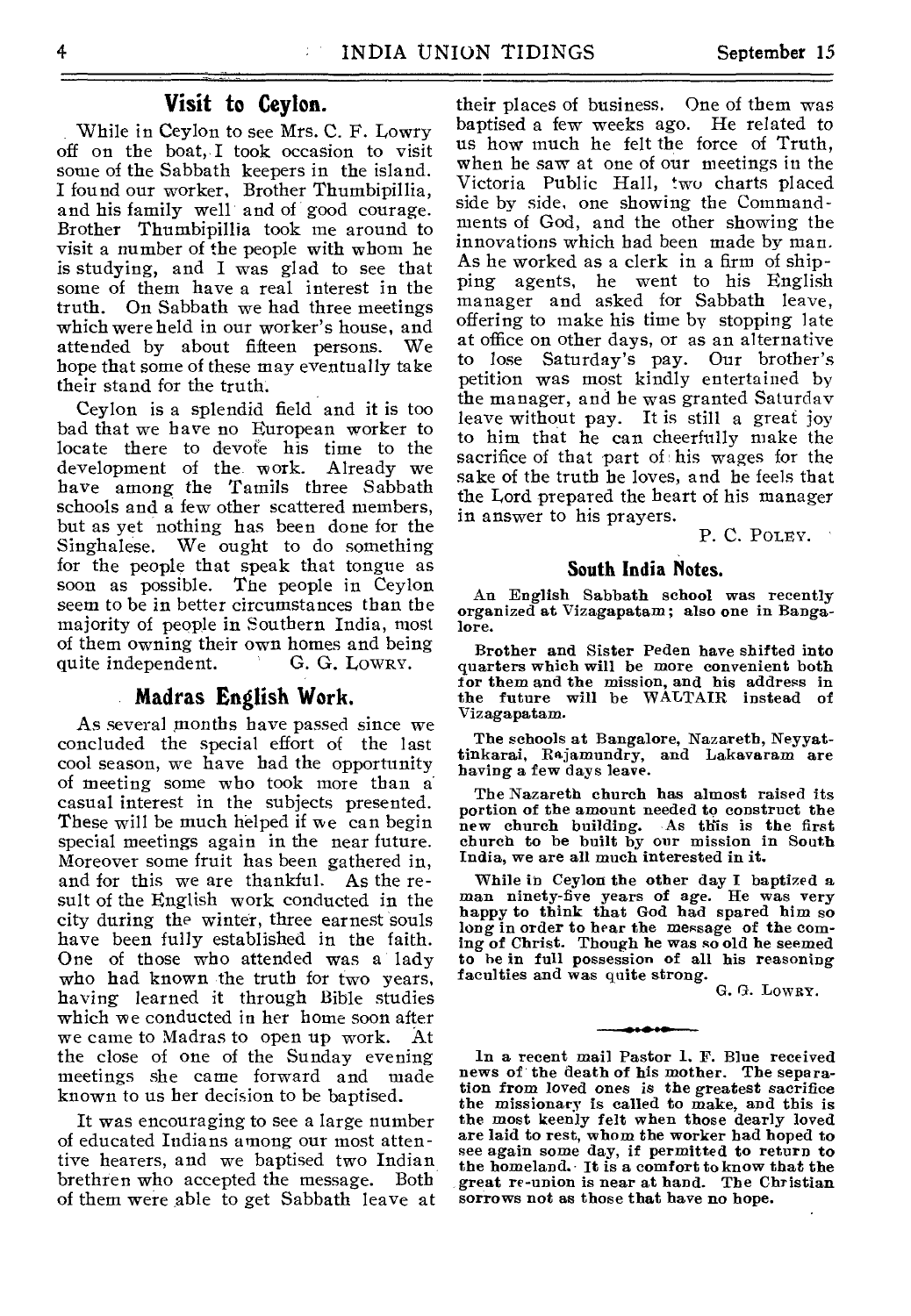# **Visit to Ceylon.**

While in Ceylon to see Mrs. C. F. Lowry off on the boat, I took occasion to visit some of the Sabbath keepers in the island. I found our worker, Brother Thumbipillia, and his family well and of good courage. Brother Thumbipillia took me around to visit a number of the people with whom he is studying, and I was glad to see that some of them have a real interest in the truth. On Sabbath we had three meetings which were held in our worker's house, and attended by about fifteen persons. We hope that some of these may eventually take their stand for the truth.

Ceylon is a splendid field and it is too bad that we have no European worker to locate there to devote his time to the<br>development of the work. Already we development of the work. have among the Tamils three Sabbath schools and a few other scattered members, but as yet nothing has been done for the<br>Singhalese. We ought to do something We ought to do something. for the people that speak that tongue as soon as possible. The people in Ceylon seem to be in better circumstances than the majority of people in Southern India, most of them owning their own homes and being quite independent. G. G. LOWRY.

# **Madras English Work.**

As several months have passed *since* we concluded the special effort of the last cool season, we have had the opportunity of meeting some who took more than a. casual interest in the subjects presented. These will be much helped if we can begin special meetings again in the near future. Moreover some fruit has been gathered in, and for this we are thankful. sult of the English work conducted in the city during the winter, three earnest souls have been fully established in the faith. One of those who attended was a lady who had known the truth for two years, having learned it through Bible studies which we conducted in her home soon after we came to Madras to open up work. At the close of one of the Sunday evening meetings she came forward and made known to us her decision to be baptised.

It was encouraging to see a large number of educated Indians among our most attentive hearers, and we baptised two Indian brethren who accepted the message. Both of them were able to get Sabbath leave at

their places of business. One of them was baptised a few weeks ago. He related to us how much he felt the force of Truth, when he saw at one of our meetings in the Victoria Public Hall, two charts placed side by side, one showing the Commandments of God, and the other showing the innovations which had been made by man. As he worked as a clerk in a firm of shipping agents, he went to his English manager and asked for Sabbath leave, offering to make his time by stopping late at office on other days, or as an alternative to lose Saturday's pay. Our brother's petition was most kindly entertained by the manager, and he was granted Saturday leave without pay. It is still a great joy to him that he can cheerfully make the sacrifice of that part of his wages for the sake of the truth he loves, and he feels that the Lord prepared the heart of his manager in answer to his prayers.

P. C. POLEY.

# **South India Notes.**

Au English Sabbath school was recently organized at Vizagapatam ; also one in Bangalore.

Brother and Sister Peden have shifted into quarters which will be more convenient both for them and the mission, and his address in the future will be WALTAIR instead of Vizagapatam.

The schools at Bangalore, Nazareth, Neyyattinkarai, Rajamundry, and Lakavaram are having a few days leave.

The Nazareth church has almost raised its portion of the amount needed to construct the new church building. As this is the first church to be built by our mission in South India, we are all much interested in it.

While in Ceylon the other day I baptized a man ninety-five years of age. He was very happy to think that God had spared him so long in order to hear the message of the coming of Christ. Though he was so old he seemed to he in full possession of all his reasoning faculties and was quite strong.

G. G. LOWRY.

ln a recent mail Pastor 1. F. Blue received news of the death of his mother. The separation from loved ones *is* the greatest sacrifice the missionary is called to make, and this is the most keenly felt when those dearly loved are laid to rest, whom the worker had hoped to see again some day, if permitted to return to the homeland. It is a comfort to know that the great re-union is near at hand. The Christian sorrows not as those that have no hope.

متمن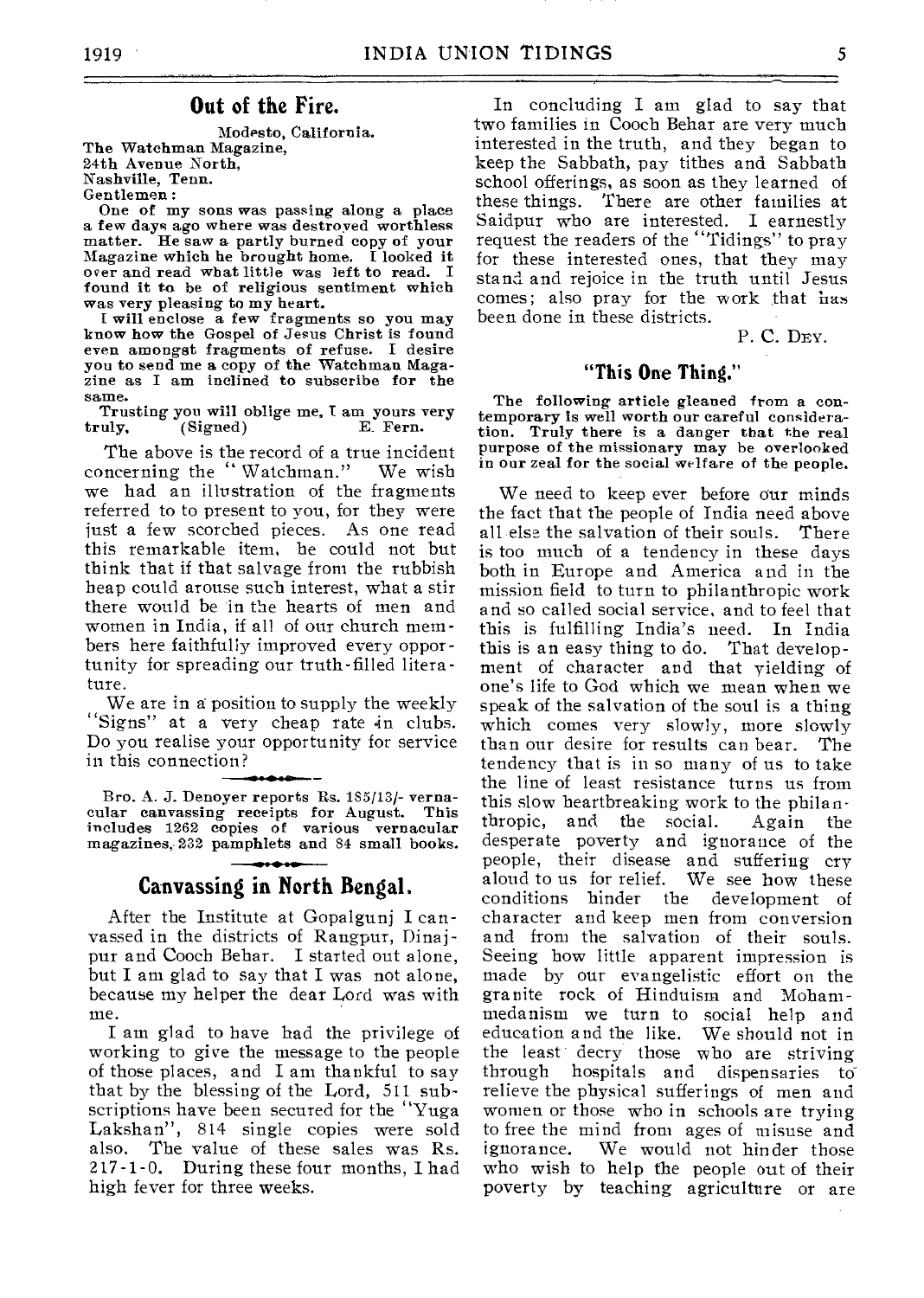# **Out of the Fire.**

Modesto, California. The Watchman Magazine, 24th Avenue North, Nashville, Tenn. Gentlemen :

One of my sons was passing along a place a few days ago where was destroyed worthless matter. He saw a partly burned copy of your Magazine which he brought home. I looked it over and read what little was left to read. I found it to. be of religious sentiment which was very pleasing to my heart.

I will enclose a few fragments so you may know how the Gospel of Jesus Christ is found even amongst fragments of refuse. I desire you to send me a copy of the Watchman Magazine as I am inclined to subscribe for the same.

Trusting you will oblige me, I am yours very<br>truly, (Signed) E. Fern. E. Fern.

The above is the record of a true incident<br>ncerning the "Watchman." We wish concerning the "Watchman." we had an illustration of the fragments referred to to present to vou, for they were just a few scorched pieces. As one read this remarkable item, he could not but think that if that salvage from the rubbish heap could arouse such interest, what a stir there would be in the hearts of men and women in India, if all of our church members here faithfully improved every opportunity for spreading our truth-filled literature.

We are in a position to supply the weekly "Signs" at a very cheap rate in clubs. Do you realise your opportunity for service in this connection?

Bro. A. J. Denoyer reports Rs. 185/13/- vernacular canvassing receipts for August. This includes 1262 copies of various vernacular magazines, 232 pamphlets and 84 small books.

# **Canvassing in North Bengal.**

After the Institute at Gopalgunj I canvassed in the districts of Rangpur, Dinajpur and Cooch Behar. I started out alone, but I am glad to say that I was not alone, because my helper the dear Lord was with me.

I am glad to have had the privilege of working to give the message to the people of those places, and I am thankful to say that by the blessing of the Lord, 511 subscriptions have been secured for the "Yuga Lakshan", 814 single copies were sold<br>also. The value of these sales was Rs. The value of these sales was Rs. 217-1-0. During these four months, I had high fever for three weeks.

In concluding I am glad to say that two families in Cooch Behar are very much interested in the truth, and they began to keep the Sabbath, pay tithes and Sabbath school offerings, as soon as they learned of these things. There are other families at Saidpur who are interested. I earnestly request the readers of the "Tidings" to pray for these interested ones, that they may stand and rejoice in the truth until Jesus comes; also pray for the work that has been done in these districts.

P. C. DEv.

# **"This One Thing."**

The following article gleaned from a contemporary is well worth our careful consideration. Truly there is a danger that the real purpose of the missionary may be overlooked in our zeal for the social welfare of the people.

We need to keep ever before our minds the fact that the people of India need above all else the salvation of their souls. There is too much of a tendency in these days both in Europe and America and in the mission field to turn to philanthropic work and so called social service, and to feel that this is fulfilling India's need. In India this is an easy thing to do. That development of character and that yielding of one's life to God which we mean when we speak of the salvation of the soul is a thing which comes very slowly, more slowly than our desire for results can bear. The tendency that is in so many of us to take the line of least resistance turns us from this slow heartbreaking work to the philanthropic, and the social. Again the desperate poverty and ignorance of the people, their disease and suffering cry aloud to us for relief. We conditions hinder the conditions hinder the development of character and keep men from conversion and from the salvation of their souls. Seeing how little apparent impression is made by our evangelistic effort on the granite rock of Hinduism and Mohammedanism we turn to social help and education and the like. We should not in the least decry those who are striving through hospitals and dispensaries to' relieve the physical sufferings of men and women or those who in schools are trying to free the mind from ages of misuse and<br>ignorance. We would not hinder those We would not hinder those who wish to help the people out of their poverty by teaching agriculture or are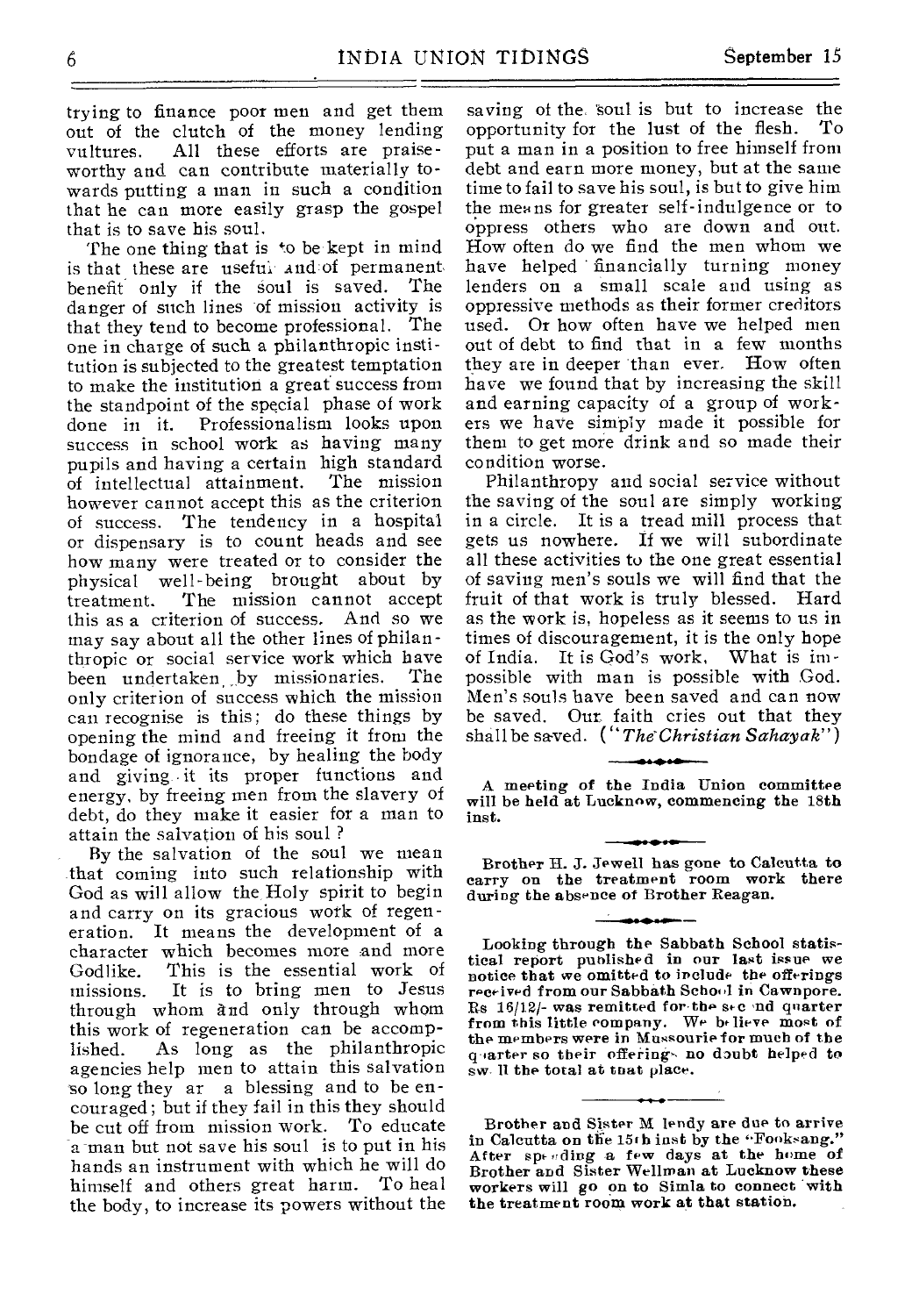trying to finance poor men and get them out of the clutch of the money lending vultures. All these efforts are praiseworthy and can contribute materially towards putting a man in such a condition that he can more easily grasp the gospel that is to save his soul.

The one thing that is to be kept in mind is that these are useful  $\lambda$ nd of permanent, benefit only if the soul is saved. The benefit only if the soul is saved. danger of such lines of mission activity is that they tend to become professional. The one in charge of such a philanthropic institution is subjected to the greatest temptation to make the institution a great success from the standpoint of the special phase of work done in it. Professionalism looks upon success in school work as having many pupils and having a certain high standard of intellectual attainment. however cannot accept this as the criterion of success. The tendency in a hospital or dispensary is to count heads and see how many were treated or to consider the physical well-being brought about by treatment. The mission cannot accept this as a criterion of success. And so we may say about all the other lines of philanthropic or social service work which have<br>been undertaken by missionaries. The been undertaken by missionaries. only criterion of success which the mission can recognise is this; do these things by opening the mind and freeing it from the bondage of ignorance, by healing the body and giving it its proper functions and energy, by freeing men from the slavery of debt, do they make it easier for a man to attain the salvation of his soul ?

By the salvation of the soul we mean that coming into such relationship with God as will allow the Holy spirit to begin and carry on its gracious work of regeneration. It means the development of a character which becomes more and more<br>Godlike. This is the essential work of This is the essential work of missions. It is to bring men to Jesus through whom and only through whom this work of regeneration can be accomplished. As long as the philanthropic agencies help men to attain this salvation so long they ar a blessing and to be encouraged; but if they fail in this they should be cut off from mission work. To educate a -man but not save his soul is to put in his hands an instrument with which he will do himself and others great harm. To heal the body, to increase its powers without the saving of the, soul is but to increase the opportunity for the lust of the flesh. To put a man in a position to free himself from debt and earn more money, but at the same time to fail to save his soul, is but to give him the means for greater self-indulgence or to oppress others who are down and out. How often do we find the men whom we have helped financially turning money lenders on a small scale and using as oppressive methods as their former creditors used. Or how often have we helped men out of debt to find that in a few months they are in deeper than ever. How often have we found that by increasing the skill and earning capacity of a group of workers we have simply made it possible for them to get more drink and so made their condition worse.

Philanthropy and social service without the saving of the soul are simply working in a circle. It is a tread mill process that gets us nowhere. If we will subordinate all these activities to the one great essential of saving men's souls we will find that the fruit of that work is truly blessed. Hard as the work is, hopeless as it seems to us in times of discouragement, it is the only hope of India. It is God's work, What is impossible with man is possible with God. Men's souls have been saved and can now be saved. Our faith cries out that they shall be saved. ( *The' Christian Sahayak")* 

A meeting of the India Union committee will be held at Lucknow, commencing the 18th inst.

Brother 11. J. Jewell has gone to Calcutta to carry on the treatment room work there during the absence of Brother Reagan.

Looking through the Sabbath School statistical report published in our last issue we notice that we omitted to include the offerings received from our Sabbath School in Cawnpore. Rs  $16/12$ - was remitted for the second quarter from this little company. We believe most of the members were in Mussourie for much of the q iarter so their offering-• no doubt helped to sw 11 the total at tnat place.

Brother and Sister M lendy are due to arrive in Calcutta on the 15th last by the "Fooksang." After spending a few days at the home of Brother and Sister Wellman at Lucknow these workers will go on to Simla to connect with the treatment room work at that station.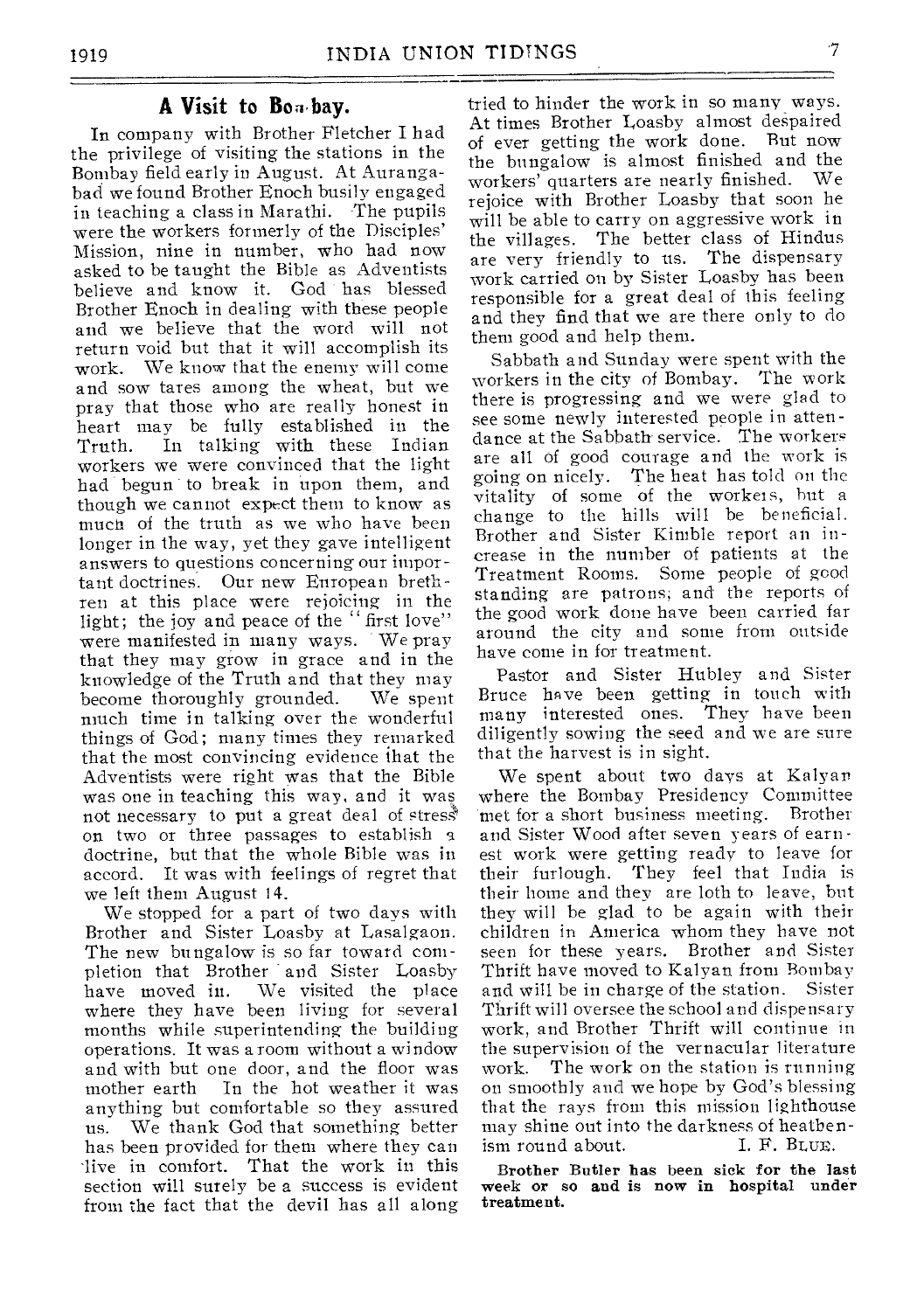# A Visit to Bon.bay.

In company with Brother Fletcher I had the privilege of visiting the stations in the Bombay field early in August. At Aurangabad we found Brother Enoch busily engaged in teaching a class in Marathi. The pupils were the workers formerly of the Disciples' Mission, nine in number, who had now asked to be taught the Bible as Adventists believe and know it. God has blessed Brother Enoch in dealing with these people and we believe that the word will not return void but that it will accomplish its work. We know that the enemy will come and sow tares among the wheat, but we pray that those who are really honest in heart may be fully established in the In talking with these Indian workers we were convinced that the light had begun to break in upon them, and though we cannot expect them to know as much of the truth as we who have been longer in the way, yet they gave intelligent answers to questions concerning our important doctrines. Our new European brethren at this place were rejoicing in the light; the joy and peace of the "first love" were manifested in many ways. We pray that they may grow in grace and in the knowledge of the Truth and that they may<br>become thoroughly grounded. We spent become thoroughly grounded. much time in talking over the wonderful things of God; many times they remarked that the most convincing evidence that the Adventists were right was that the Bible was one in teaching this way, and it was not necessary to put a great deal of stress<sup>8</sup> on two or three passages to establish a doctrine, but that the whole Bible was in accord. It was with feelings of regret that we left them August 14.

We stopped for a part of two days with Brother and Sister Loasby at Lasalgaon. The new bungalow is so far toward completion that Brother and Sister Loasby have moved in. We visited the place where they have been living for several months while superintending the building operations. It was a room without a window and with but one door, and the floor was<br>mother earth In the hot weather it was In the hot weather it was anything but comfortable so they assured us. We thank God that something better has been provided for them where they can live in comfort. That the work in this section will surely be a success is evident from the fact that the devil has all along

tried to hinder the work in so many ways. At times Brother Loasby almost despaired of ever getting the work done. But now the bungalow is almost finished and the workers' quarters are nearly finished. We workers' quarters are nearly finished. rejoice with Brother Loasby that soon he will be able to carry on aggressive work in<br>the villages. The better class of Hindus The better class of Hindus are very friendly to us. The dispensary work carried on by Sister Loasby has been responsible for a great deal of this feeling and they find that we are there only to do them good and help them.

Sabbath and Sunday were spent with the workers in the city of Bombay. The work there is progressing and we were glad to see some newly interested people in attendance at the Sabbath service. The workers are all of good courage and the work is going on nicely. The heat has told on the vitality of some of the workers, hut a change to the hills will be beneficial. Brother and Sister Kimble report an increase in the number of patients at the Treatment Rooms. Some people of good standing are patrons; and the reports of the good work done have been carried far around the city and some from outside have come in for treatment.

Pastor and Sister Hubley and Sister Bruce have been getting in touch with many interested ones. They have been diligently sowing the seed and we are sure that the harvest is in sight.

We spent about two days at Kalyan where the Bombay Presidency Committee met for a short business meeting. Brother and Sister Wood after seven years of earnest work were getting ready to leave for their furlough. They feel that India is their home and they are loth to leave, but they will be glad to be again with their children in America whom they have not seen for these years. Brother and Sister Thrift have moved to Kalyan from Bombay and will be in charge of the station. Thrift will oversee the school and dispensary work, and Brother Thrift will continue in the supervision of the vernacular literature work. The work on the station is running on smoothly and we hope by God's blessing that the rays from this mission lighthouse may shine out into the darkness of heathen-<br>ism round about.  $\Gamma$ . F. BLUE. ism round about.

Brother Butler has been sick for the last week or so and is now in hospital under treatment.